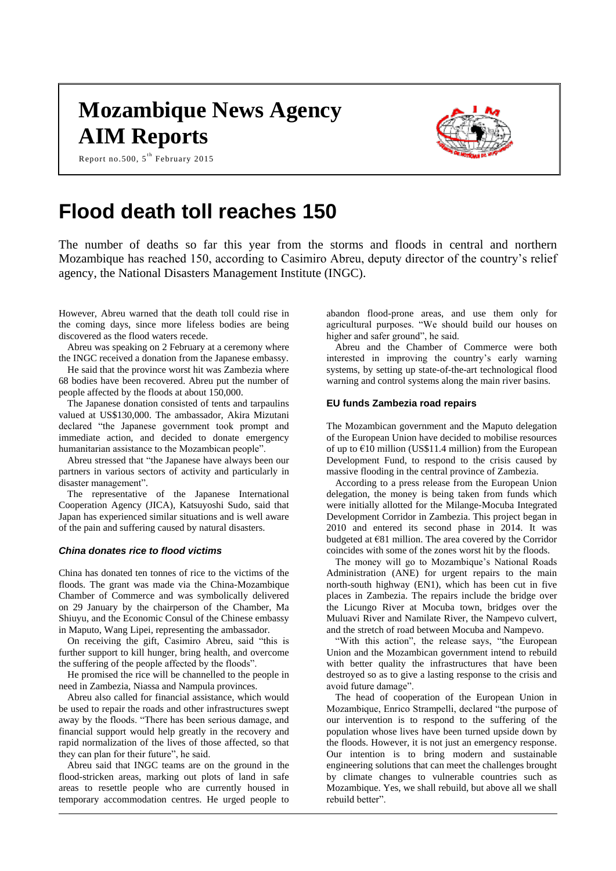# **Mozambique News Agency AIM Reports**

Report no.500,  $5^{\text{th}}$  February 2015



## **Flood death toll reaches 150**

The number of deaths so far this year from the storms and floods in central and northern Mozambique has reached 150, according to Casimiro Abreu, deputy director of the country's relief agency, the National Disasters Management Institute (INGC).

However, Abreu warned that the death toll could rise in the coming days, since more lifeless bodies are being discovered as the flood waters recede.

Abreu was speaking on 2 February at a ceremony where the INGC received a donation from the Japanese embassy.

He said that the province worst hit was Zambezia where 68 bodies have been recovered. Abreu put the number of people affected by the floods at about 150,000.

The Japanese donation consisted of tents and tarpaulins valued at US\$130,000. The ambassador, Akira Mizutani declared "the Japanese government took prompt and immediate action, and decided to donate emergency humanitarian assistance to the Mozambican people".

Abreu stressed that "the Japanese have always been our partners in various sectors of activity and particularly in disaster management".

The representative of the Japanese International Cooperation Agency (JICA), Katsuyoshi Sudo, said that Japan has experienced similar situations and is well aware of the pain and suffering caused by natural disasters.

#### *China donates rice to flood victims*

China has donated ten tonnes of rice to the victims of the floods. The grant was made via the China-Mozambique Chamber of Commerce and was symbolically delivered on 29 January by the chairperson of the Chamber, Ma Shiuyu, and the Economic Consul of the Chinese embassy in Maputo, Wang Lipei, representing the ambassador.

On receiving the gift, Casimiro Abreu, said "this is further support to kill hunger, bring health, and overcome the suffering of the people affected by the floods".

He promised the rice will be channelled to the people in need in Zambezia, Niassa and Nampula provinces.

Abreu also called for financial assistance, which would be used to repair the roads and other infrastructures swept away by the floods. "There has been serious damage, and financial support would help greatly in the recovery and rapid normalization of the lives of those affected, so that they can plan for their future", he said.

Abreu said that INGC teams are on the ground in the flood-stricken areas, marking out plots of land in safe areas to resettle people who are currently housed in temporary accommodation centres. He urged people to

abandon flood-prone areas, and use them only for agricultural purposes. "We should build our houses on higher and safer ground", he said.

Abreu and the Chamber of Commerce were both interested in improving the country's early warning systems, by setting up state-of-the-art technological flood warning and control systems along the main river basins.

## **EU funds Zambezia road repairs**

The Mozambican government and the Maputo delegation of the European Union have decided to mobilise resources of up to  $E10$  million (US\$11.4 million) from the European Development Fund, to respond to the crisis caused by massive flooding in the central province of Zambezia.

According to a press release from the European Union delegation, the money is being taken from funds which were initially allotted for the Milange-Mocuba Integrated Development Corridor in Zambezia. This project began in 2010 and entered its second phase in 2014. It was budgeted at €81 million. The area covered by the Corridor coincides with some of the zones worst hit by the floods.

The money will go to Mozambique's National Roads Administration (ANE) for urgent repairs to the main north-south highway (EN1), which has been cut in five places in Zambezia. The repairs include the bridge over the Licungo River at Mocuba town, bridges over the Muluavi River and Namilate River, the Nampevo culvert, and the stretch of road between Mocuba and Nampevo.

"With this action", the release says, "the European Union and the Mozambican government intend to rebuild with better quality the infrastructures that have been destroyed so as to give a lasting response to the crisis and avoid future damage".

The head of cooperation of the European Union in Mozambique, Enrico Strampelli, declared "the purpose of our intervention is to respond to the suffering of the population whose lives have been turned upside down by the floods. However, it is not just an emergency response. Our intention is to bring modern and sustainable engineering solutions that can meet the challenges brought by climate changes to vulnerable countries such as Mozambique. Yes, we shall rebuild, but above all we shall rebuild better".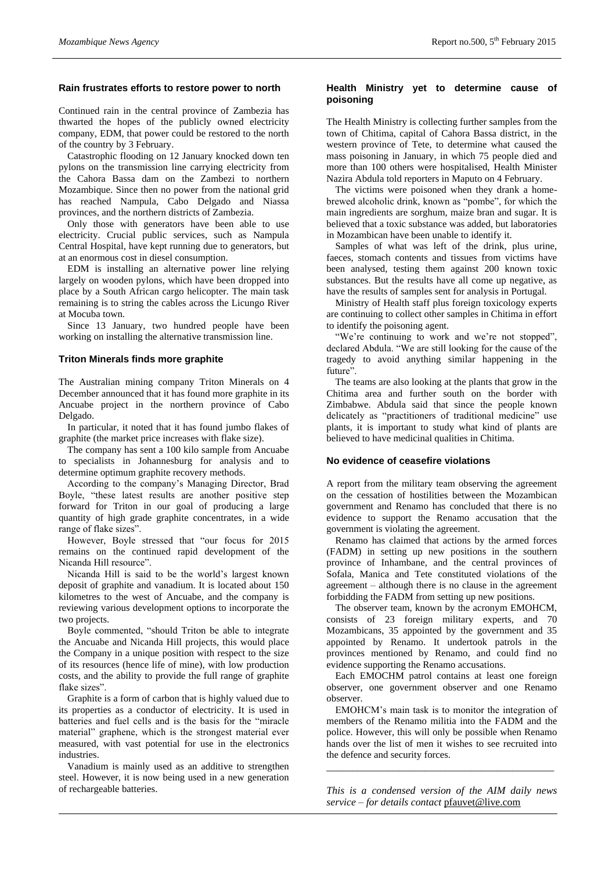## **Rain frustrates efforts to restore power to north**

Continued rain in the central province of Zambezia has thwarted the hopes of the publicly owned electricity company, EDM, that power could be restored to the north of the country by 3 February.

Catastrophic flooding on 12 January knocked down ten pylons on the transmission line carrying electricity from the Cahora Bassa dam on the Zambezi to northern Mozambique. Since then no power from the national grid has reached Nampula, Cabo Delgado and Niassa provinces, and the northern districts of Zambezia.

Only those with generators have been able to use electricity. Crucial public services, such as Nampula Central Hospital, have kept running due to generators, but at an enormous cost in diesel consumption.

EDM is installing an alternative power line relying largely on wooden pylons, which have been dropped into place by a South African cargo helicopter. The main task remaining is to string the cables across the Licungo River at Mocuba town.

Since 13 January, two hundred people have been working on installing the alternative transmission line.

#### **Triton Minerals finds more graphite**

The Australian mining company Triton Minerals on 4 December announced that it has found more graphite in its Ancuabe project in the northern province of Cabo Delgado.

In particular, it noted that it has found jumbo flakes of graphite (the market price increases with flake size).

The company has sent a 100 kilo sample from Ancuabe to specialists in Johannesburg for analysis and to determine optimum graphite recovery methods.

According to the company's Managing Director, Brad Boyle, "these latest results are another positive step forward for Triton in our goal of producing a large quantity of high grade graphite concentrates, in a wide range of flake sizes".

However, Boyle stressed that "our focus for 2015 remains on the continued rapid development of the Nicanda Hill resource".

Nicanda Hill is said to be the world's largest known deposit of graphite and vanadium. It is located about 150 kilometres to the west of Ancuabe, and the company is reviewing various development options to incorporate the two projects.

Boyle commented, "should Triton be able to integrate the Ancuabe and Nicanda Hill projects, this would place the Company in a unique position with respect to the size of its resources (hence life of mine), with low production costs, and the ability to provide the full range of graphite flake sizes".

Graphite is a form of carbon that is highly valued due to its properties as a conductor of electricity. It is used in batteries and fuel cells and is the basis for the "miracle material" graphene, which is the strongest material ever measured, with vast potential for use in the electronics industries.

Vanadium is mainly used as an additive to strengthen steel. However, it is now being used in a new generation of rechargeable batteries.

## **Health Ministry yet to determine cause of poisoning**

The Health Ministry is collecting further samples from the town of Chitima, capital of Cahora Bassa district, in the western province of Tete, to determine what caused the mass poisoning in January, in which 75 people died and more than 100 others were hospitalised, Health Minister Nazira Abdula told reporters in Maputo on 4 February.

The victims were poisoned when they drank a homebrewed alcoholic drink, known as "pombe", for which the main ingredients are sorghum, maize bran and sugar. It is believed that a toxic substance was added, but laboratories in Mozambican have been unable to identify it.

Samples of what was left of the drink, plus urine, faeces, stomach contents and tissues from victims have been analysed, testing them against 200 known toxic substances. But the results have all come up negative, as have the results of samples sent for analysis in Portugal.

Ministry of Health staff plus foreign toxicology experts are continuing to collect other samples in Chitima in effort to identify the poisoning agent.

"We're continuing to work and we're not stopped", declared Abdula. "We are still looking for the cause of the tragedy to avoid anything similar happening in the future'

The teams are also looking at the plants that grow in the Chitima area and further south on the border with Zimbabwe. Abdula said that since the people known delicately as "practitioners of traditional medicine" use plants, it is important to study what kind of plants are believed to have medicinal qualities in Chitima.

#### **No evidence of ceasefire violations**

A report from the military team observing the agreement on the cessation of hostilities between the Mozambican government and Renamo has concluded that there is no evidence to support the Renamo accusation that the government is violating the agreement.

Renamo has claimed that actions by the armed forces (FADM) in setting up new positions in the southern province of Inhambane, and the central provinces of Sofala, Manica and Tete constituted violations of the agreement – although there is no clause in the agreement forbidding the FADM from setting up new positions.

The observer team, known by the acronym EMOHCM, consists of 23 foreign military experts, and 70 Mozambicans, 35 appointed by the government and 35 appointed by Renamo. It undertook patrols in the provinces mentioned by Renamo, and could find no evidence supporting the Renamo accusations.

Each EMOCHM patrol contains at least one foreign observer, one government observer and one Renamo observer.

EMOHCM's main task is to monitor the integration of members of the Renamo militia into the FADM and the police. However, this will only be possible when Renamo hands over the list of men it wishes to see recruited into the defence and security forces.

*This is a condensed version of the AIM daily news service – for details contact* [pfauvet@live.com](mailto:pfauvet@live.com)

*\_\_\_\_\_\_\_\_\_\_\_\_\_\_\_\_\_\_\_\_\_\_\_\_\_\_\_\_\_\_\_\_\_\_\_\_\_\_\_\_\_\_\_\_*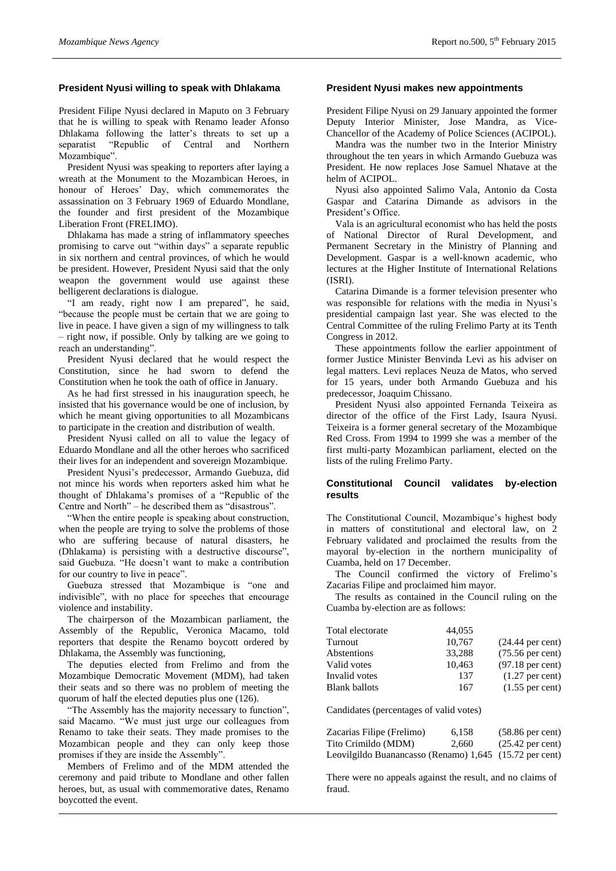## **President Nyusi willing to speak with Dhlakama**

President Filipe Nyusi declared in Maputo on 3 February that he is willing to speak with Renamo leader Afonso Dhlakama following the latter's threats to set up a separatist "Republic of Central and Northern Mozambique".

President Nyusi was speaking to reporters after laying a wreath at the Monument to the Mozambican Heroes, in honour of Heroes' Day, which commemorates the assassination on 3 February 1969 of Eduardo Mondlane, the founder and first president of the Mozambique Liberation Front (FRELIMO).

Dhlakama has made a string of inflammatory speeches promising to carve out "within days" a separate republic in six northern and central provinces, of which he would be president. However, President Nyusi said that the only weapon the government would use against these belligerent declarations is dialogue.

"I am ready, right now I am prepared", he said, "because the people must be certain that we are going to live in peace. I have given a sign of my willingness to talk – right now, if possible. Only by talking are we going to reach an understanding".

President Nyusi declared that he would respect the Constitution, since he had sworn to defend the Constitution when he took the oath of office in January.

As he had first stressed in his inauguration speech, he insisted that his governance would be one of inclusion, by which he meant giving opportunities to all Mozambicans to participate in the creation and distribution of wealth.

President Nyusi called on all to value the legacy of Eduardo Mondlane and all the other heroes who sacrificed their lives for an independent and sovereign Mozambique.

President Nyusi's predecessor, Armando Guebuza, did not mince his words when reporters asked him what he thought of Dhlakama's promises of a "Republic of the Centre and North" – he described them as "disastrous".

"When the entire people is speaking about construction, when the people are trying to solve the problems of those who are suffering because of natural disasters, he (Dhlakama) is persisting with a destructive discourse", said Guebuza. "He doesn't want to make a contribution for our country to live in peace".

Guebuza stressed that Mozambique is "one and indivisible", with no place for speeches that encourage violence and instability.

The chairperson of the Mozambican parliament, the Assembly of the Republic, Veronica Macamo, told reporters that despite the Renamo boycott ordered by Dhlakama, the Assembly was functioning,

The deputies elected from Frelimo and from the Mozambique Democratic Movement (MDM), had taken their seats and so there was no problem of meeting the quorum of half the elected deputies plus one (126).

"The Assembly has the majority necessary to function", said Macamo. "We must just urge our colleagues from Renamo to take their seats. They made promises to the Mozambican people and they can only keep those promises if they are inside the Assembly".

Members of Frelimo and of the MDM attended the ceremony and paid tribute to Mondlane and other fallen heroes, but, as usual with commemorative dates, Renamo boycotted the event.

## **President Nyusi makes new appointments**

President Filipe Nyusi on 29 January appointed the former Deputy Interior Minister, Jose Mandra, as Vice-Chancellor of the Academy of Police Sciences (ACIPOL).

Mandra was the number two in the Interior Ministry throughout the ten years in which Armando Guebuza was President. He now replaces Jose Samuel Nhatave at the helm of ACIPOL.

Nyusi also appointed Salimo Vala, Antonio da Costa Gaspar and Catarina Dimande as advisors in the President's Office.

Vala is an agricultural economist who has held the posts of National Director of Rural Development, and Permanent Secretary in the Ministry of Planning and Development. Gaspar is a well-known academic, who lectures at the Higher Institute of International Relations (ISRI).

Catarina Dimande is a former television presenter who was responsible for relations with the media in Nyusi's presidential campaign last year. She was elected to the Central Committee of the ruling Frelimo Party at its Tenth Congress in 2012.

These appointments follow the earlier appointment of former Justice Minister Benvinda Levi as his adviser on legal matters. Levi replaces Neuza de Matos, who served for 15 years, under both Armando Guebuza and his predecessor, Joaquim Chissano.

President Nyusi also appointed Fernanda Teixeira as director of the office of the First Lady, Isaura Nyusi. Teixeira is a former general secretary of the Mozambique Red Cross. From 1994 to 1999 she was a member of the first multi-party Mozambican parliament, elected on the lists of the ruling Frelimo Party.

## **Constitutional Council validates by-election results**

The Constitutional Council, Mozambique's highest body in matters of constitutional and electoral law, on 2 February validated and proclaimed the results from the mayoral by-election in the northern municipality of Cuamba, held on 17 December.

The Council confirmed the victory of Frelimo's Zacarias Filipe and proclaimed him mayor.

The results as contained in the Council ruling on the Cuamba by-election are as follows:

| Total electorate     | 44,055 |                            |
|----------------------|--------|----------------------------|
| Turnout              | 10.767 | $(24.44$ per cent)         |
| Abstentions          | 33.288 | $(75.56 \text{ per cent})$ |
| Valid votes          | 10,463 | $(97.18$ per cent)         |
| Invalid votes        | 137    | $(1.27$ per cent)          |
| <b>Blank</b> ballots | 167    | $(1.55$ per cent)          |

Candidates (percentages of valid votes)

| Zacarias Filipe (Frelimo)                               | 6.158 | $(58.86$ per cent) |
|---------------------------------------------------------|-------|--------------------|
| Tito Crimildo (MDM)                                     | 2.660 | $(25.42$ per cent) |
| Leovilgildo Buanancasso (Renamo) 1,645 (15.72 per cent) |       |                    |

There were no appeals against the result, and no claims of fraud.